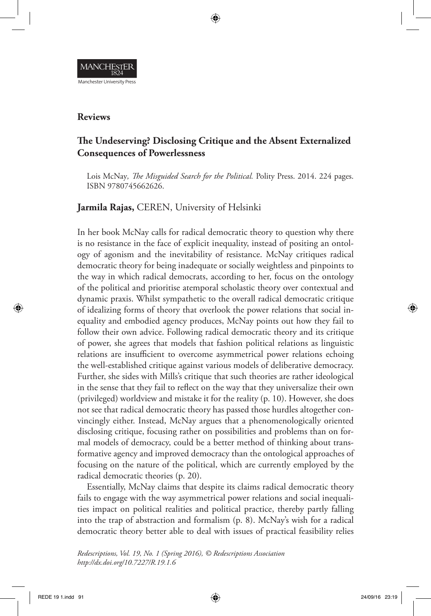

## **Reviews**

# **The Undeserving? Disclosing Critique and the Absent Externalized Consequences of Powerlessness**

Lois McNay*, The Misguided Search for the Political.* Polity Press. 2014. 224 pages. ISBN 9780745662626.

**Jarmila Rajas,** CEREN, University of Helsinki

In her book McNay calls for radical democratic theory to question why there is no resistance in the face of explicit inequality, instead of positing an ontology of agonism and the inevitability of resistance. McNay critiques radical democratic theory for being inadequate or socially weightless and pinpoints to the way in which radical democrats, according to her, focus on the ontology of the political and prioritise atemporal scholastic theory over contextual and dynamic praxis. Whilst sympathetic to the overall radical democratic critique of idealizing forms of theory that overlook the power relations that social inequality and embodied agency produces, McNay points out how they fail to follow their own advice. Following radical democratic theory and its critique of power, she agrees that models that fashion political relations as linguistic relations are insufficient to overcome asymmetrical power relations echoing the well-established critique against various models of deliberative democracy. Further, she sides with Mills's critique that such theories are rather ideological in the sense that they fail to reflect on the way that they universalize their own (privileged) worldview and mistake it for the reality (p. 10). However, she does not see that radical democratic theory has passed those hurdles altogether convincingly either. Instead, McNay argues that a phenomenologically oriented disclosing critique, focusing rather on possibilities and problems than on formal models of democracy, could be a better method of thinking about transformative agency and improved democracy than the ontological approaches of focusing on the nature of the political, which are currently employed by the radical democratic theories (p. 20).

Essentially, McNay claims that despite its claims radical democratic theory fails to engage with the way asymmetrical power relations and social inequalities impact on political realities and political practice, thereby partly falling into the trap of abstraction and formalism (p. 8). McNay's wish for a radical democratic theory better able to deal with issues of practical feasibility relies

*Redescriptions, Vol. 19, No. 1 (Spring 2016), © Redescriptions Association http://dx.doi.org/10.7227/R.19.1.6*

⊕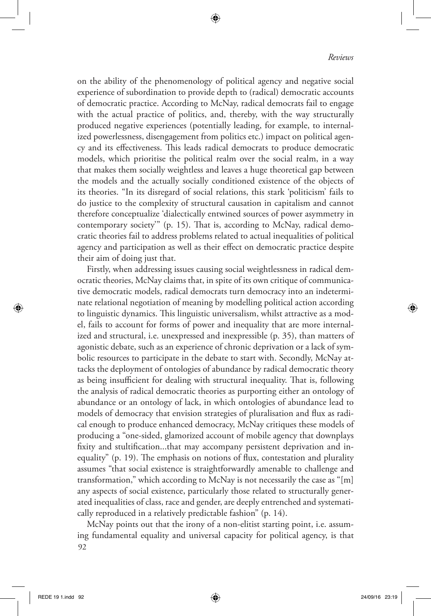#### *Reviews*

on the ability of the phenomenology of political agency and negative social experience of subordination to provide depth to (radical) democratic accounts of democratic practice. According to McNay, radical democrats fail to engage with the actual practice of politics, and, thereby, with the way structurally produced negative experiences (potentially leading, for example, to internalized powerlessness, disengagement from politics etc.) impact on political agency and its effectiveness. This leads radical democrats to produce democratic models, which prioritise the political realm over the social realm, in a way that makes them socially weightless and leaves a huge theoretical gap between the models and the actually socially conditioned existence of the objects of its theories. "In its disregard of social relations, this stark 'politicism' fails to do justice to the complexity of structural causation in capitalism and cannot therefore conceptualize 'dialectically entwined sources of power asymmetry in contemporary society'" (p. 15). That is, according to McNay, radical democratic theories fail to address problems related to actual inequalities of political agency and participation as well as their effect on democratic practice despite their aim of doing just that.

◈

Firstly, when addressing issues causing social weightlessness in radical democratic theories, McNay claims that, in spite of its own critique of communicative democratic models, radical democrats turn democracy into an indeterminate relational negotiation of meaning by modelling political action according to linguistic dynamics. This linguistic universalism, whilst attractive as a model, fails to account for forms of power and inequality that are more internalized and structural, i.e. unexpressed and inexpressible (p. 35), than matters of agonistic debate, such as an experience of chronic deprivation or a lack of symbolic resources to participate in the debate to start with. Secondly, McNay attacks the deployment of ontologies of abundance by radical democratic theory as being insufficient for dealing with structural inequality. That is, following the analysis of radical democratic theories as purporting either an ontology of abundance or an ontology of lack, in which ontologies of abundance lead to models of democracy that envision strategies of pluralisation and flux as radical enough to produce enhanced democracy, McNay critiques these models of producing a "one-sided, glamorized account of mobile agency that downplays fixity and stultification...that may accompany persistent deprivation and inequality" (p. 19). The emphasis on notions of flux, contestation and plurality assumes "that social existence is straightforwardly amenable to challenge and transformation," which according to McNay is not necessarily the case as "[m] any aspects of social existence, particularly those related to structurally generated inequalities of class, race and gender, are deeply entrenched and systematically reproduced in a relatively predictable fashion" (p. 14).

92 McNay points out that the irony of a non-elitist starting point, i.e. assuming fundamental equality and universal capacity for political agency, is that

⊕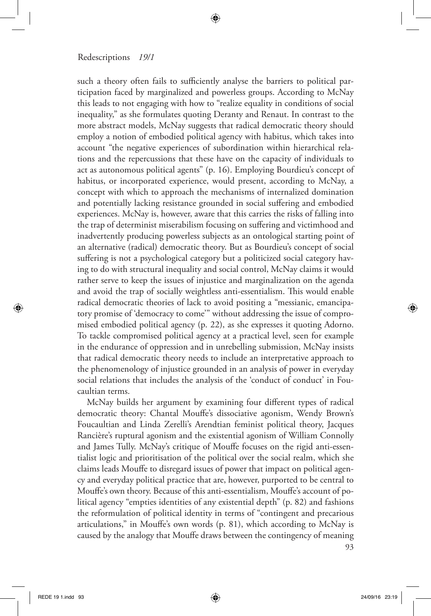#### Redescriptions *19/1*

such a theory often fails to sufficiently analyse the barriers to political participation faced by marginalized and powerless groups. According to McNay this leads to not engaging with how to "realize equality in conditions of social inequality," as she formulates quoting Deranty and Renaut. In contrast to the more abstract models, McNay suggests that radical democratic theory should employ a notion of embodied political agency with habitus, which takes into account "the negative experiences of subordination within hierarchical relations and the repercussions that these have on the capacity of individuals to act as autonomous political agents" (p. 16). Employing Bourdieu's concept of habitus, or incorporated experience, would present, according to McNay, a concept with which to approach the mechanisms of internalized domination and potentially lacking resistance grounded in social suffering and embodied experiences. McNay is, however, aware that this carries the risks of falling into the trap of determinist miserabilism focusing on suffering and victimhood and inadvertently producing powerless subjects as an ontological starting point of an alternative (radical) democratic theory. But as Bourdieu's concept of social suffering is not a psychological category but a politicized social category having to do with structural inequality and social control, McNay claims it would rather serve to keep the issues of injustice and marginalization on the agenda and avoid the trap of socially weightless anti-essentialism. This would enable radical democratic theories of lack to avoid positing a "messianic, emancipatory promise of 'democracy to come'" without addressing the issue of compromised embodied political agency (p. 22), as she expresses it quoting Adorno. To tackle compromised political agency at a practical level, seen for example in the endurance of oppression and in unrebelling submission, McNay insists that radical democratic theory needs to include an interpretative approach to the phenomenology of injustice grounded in an analysis of power in everyday social relations that includes the analysis of the 'conduct of conduct' in Foucaultian terms.

⊕

93 McNay builds her argument by examining four different types of radical democratic theory: Chantal Mouffe's dissociative agonism, Wendy Brown's Foucaultian and Linda Zerelli's Arendtian feminist political theory, Jacques Rancière's ruptural agonism and the existential agonism of William Connolly and James Tully. McNay's critique of Mouffe focuses on the rigid anti-essentialist logic and prioritisation of the political over the social realm, which she claims leads Mouffe to disregard issues of power that impact on political agency and everyday political practice that are, however, purported to be central to Mouffe's own theory. Because of this anti-essentialism, Mouffe's account of political agency "empties identities of any existential depth" (p. 82) and fashions the reformulation of political identity in terms of "contingent and precarious articulations," in Mouffe's own words (p. 81), which according to McNay is caused by the analogy that Mouffe draws between the contingency of meaning

⊕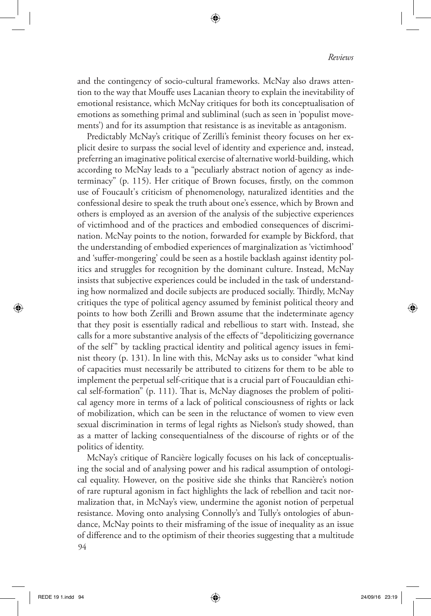and the contingency of socio-cultural frameworks. McNay also draws attention to the way that Mouffe uses Lacanian theory to explain the inevitability of emotional resistance, which McNay critiques for both its conceptualisation of emotions as something primal and subliminal (such as seen in 'populist movements') and for its assumption that resistance is as inevitable as antagonism.

⊕

Predictably McNay's critique of Zerilli's feminist theory focuses on her explicit desire to surpass the social level of identity and experience and, instead, preferring an imaginative political exercise of alternative world-building, which according to McNay leads to a "peculiarly abstract notion of agency as indeterminacy" (p. 115). Her critique of Brown focuses, firstly, on the common use of Foucault's criticism of phenomenology, naturalized identities and the confessional desire to speak the truth about one's essence, which by Brown and others is employed as an aversion of the analysis of the subjective experiences of victimhood and of the practices and embodied consequences of discrimination. McNay points to the notion, forwarded for example by Bickford, that the understanding of embodied experiences of marginalization as 'victimhood' and 'suffer-mongering' could be seen as a hostile backlash against identity politics and struggles for recognition by the dominant culture. Instead, McNay insists that subjective experiences could be included in the task of understanding how normalized and docile subjects are produced socially. Thirdly, McNay critiques the type of political agency assumed by feminist political theory and points to how both Zerilli and Brown assume that the indeterminate agency that they posit is essentially radical and rebellious to start with. Instead, she calls for a more substantive analysis of the effects of "depoliticizing governance of the self" by tackling practical identity and political agency issues in feminist theory (p. 131). In line with this, McNay asks us to consider "what kind of capacities must necessarily be attributed to citizens for them to be able to implement the perpetual self-critique that is a crucial part of Foucauldian ethical self-formation" (p. 111). That is, McNay diagnoses the problem of political agency more in terms of a lack of political consciousness of rights or lack of mobilization, which can be seen in the reluctance of women to view even sexual discrimination in terms of legal rights as Nielson's study showed, than as a matter of lacking consequentialness of the discourse of rights or of the politics of identity.

94 McNay's critique of Rancière logically focuses on his lack of conceptualising the social and of analysing power and his radical assumption of ontological equality. However, on the positive side she thinks that Rancière's notion of rare ruptural agonism in fact highlights the lack of rebellion and tacit normalization that, in McNay's view, undermine the agonist notion of perpetual resistance. Moving onto analysing Connolly's and Tully's ontologies of abundance, McNay points to their misframing of the issue of inequality as an issue of difference and to the optimism of their theories suggesting that a multitude

⊕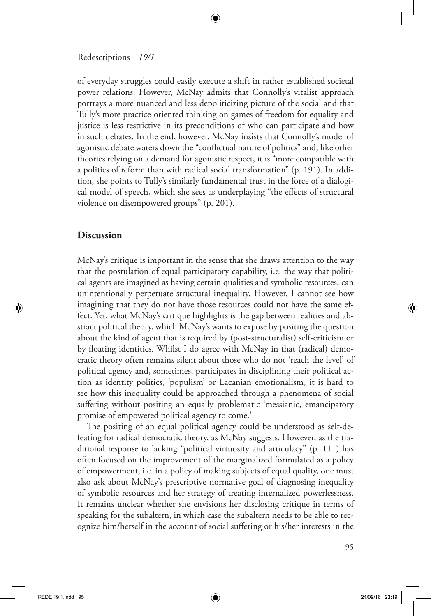#### Redescriptions *19/1*

of everyday struggles could easily execute a shift in rather established societal power relations. However, McNay admits that Connolly's vitalist approach portrays a more nuanced and less depoliticizing picture of the social and that Tully's more practice-oriented thinking on games of freedom for equality and justice is less restrictive in its preconditions of who can participate and how in such debates. In the end, however, McNay insists that Connolly's model of agonistic debate waters down the "conflictual nature of politics" and, like other theories relying on a demand for agonistic respect, it is "more compatible with a politics of reform than with radical social transformation" (p. 191). In addition, she points to Tully's similarly fundamental trust in the force of a dialogical model of speech, which she sees as underplaying "the effects of structural violence on disempowered groups" (p. 201).

⊕

### **Discussion**

⊕

McNay's critique is important in the sense that she draws attention to the way that the postulation of equal participatory capability, i.e. the way that political agents are imagined as having certain qualities and symbolic resources, can unintentionally perpetuate structural inequality. However, I cannot see how imagining that they do not have those resources could not have the same effect. Yet, what McNay's critique highlights is the gap between realities and abstract political theory, which McNay's wants to expose by positing the question about the kind of agent that is required by (post-structuralist) self-criticism or by floating identities. Whilst I do agree with McNay in that (radical) democratic theory often remains silent about those who do not 'reach the level' of political agency and, sometimes, participates in disciplining their political action as identity politics, 'populism' or Lacanian emotionalism, it is hard to see how this inequality could be approached through a phenomena of social suffering without positing an equally problematic 'messianic, emancipatory promise of empowered political agency to come.'

The positing of an equal political agency could be understood as self-defeating for radical democratic theory, as McNay suggests. However, as the traditional response to lacking "political virtuosity and articulacy" (p. 111) has often focused on the improvement of the marginalized formulated as a policy of empowerment, i.e. in a policy of making subjects of equal quality, one must also ask about McNay's prescriptive normative goal of diagnosing inequality of symbolic resources and her strategy of treating internalized powerlessness. It remains unclear whether she envisions her disclosing critique in terms of speaking for the subaltern, in which case the subaltern needs to be able to recognize him/herself in the account of social suffering or his/her interests in the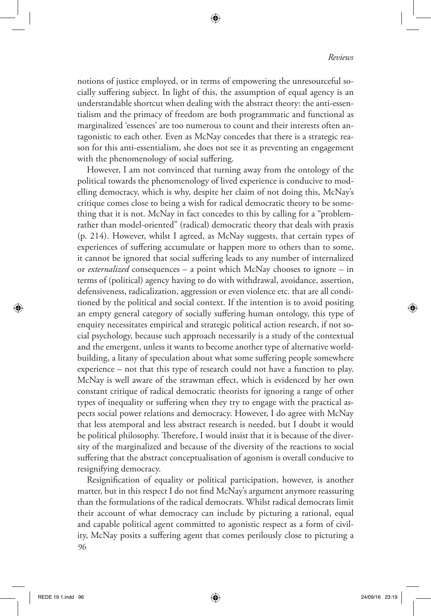notions of justice employed, or in terms of empowering the unresourceful socially suffering subject. In light of this, the assumption of equal agency is an understandable shortcut when dealing with the abstract theory: the anti-essentialism and the primacy of freedom are both programmatic and functional as marginalized 'essences' are too numerous to count and their interests often antagonistic to each other. Even as McNay concedes that there is a strategic reason for this anti-essentialism, she does not see it as preventing an engagement with the phenomenology of social suffering.

⊕

However, I am not convinced that turning away from the ontology of the political towards the phenomenology of lived experience is conducive to modelling democracy, which is why, despite her claim of not doing this, McNay's critique comes close to being a wish for radical democratic theory to be something that it is not. McNay in fact concedes to this by calling for a "problemrather than model-oriented" (radical) democratic theory that deals with praxis (p. 214). However, whilst I agreed, as McNay suggests, that certain types of experiences of suffering accumulate or happen more to others than to some, it cannot be ignored that social suffering leads to any number of internalized or *externalized* consequences – a point which McNay chooses to ignore – in terms of (political) agency having to do with withdrawal, avoidance, assertion, defensiveness, radicalization, aggression or even violence etc. that are all conditioned by the political and social context. If the intention is to avoid positing an empty general category of socially suffering human ontology, this type of enquiry necessitates empirical and strategic political action research, if not social psychology, because such approach necessarily is a study of the contextual and the emergent, unless it wants to become another type of alternative worldbuilding, a litany of speculation about what some suffering people somewhere experience – not that this type of research could not have a function to play. McNay is well aware of the strawman effect, which is evidenced by her own constant critique of radical democratic theorists for ignoring a range of other types of inequality or suffering when they try to engage with the practical aspects social power relations and democracy. However, I do agree with McNay that less atemporal and less abstract research is needed, but I doubt it would be political philosophy. Therefore, I would insist that it is because of the diversity of the marginalized and because of the diversity of the reactions to social suffering that the abstract conceptualisation of agonism is overall conducive to resignifying democracy.

96 Resignification of equality or political participation, however, is another matter, but in this respect I do not find McNay's argument anymore reassuring than the formulations of the radical democrats. Whilst radical democrats limit their account of what democracy can include by picturing a rational, equal and capable political agent committed to agonistic respect as a form of civility, McNay posits a suffering agent that comes perilously close to picturing a

⊕